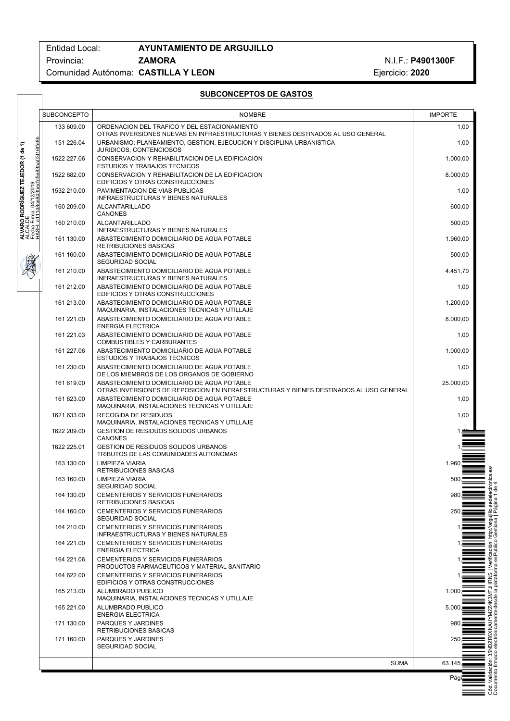# Entidad Local: **AYUNTAMIENTO DE ARGUJILLO** Provincia: **ZAMORA ZAMORA** N.I.F.: P4901300F ComunidadAutónoma: **CASTILLAYLEON** Ejercicio:**2020**

|                                                                                                                                                               | SUBCONCEPTO              | <b>NOMBRE</b>                                                                                                                                                                             | <b>IMPORTE</b>   |
|---------------------------------------------------------------------------------------------------------------------------------------------------------------|--------------------------|-------------------------------------------------------------------------------------------------------------------------------------------------------------------------------------------|------------------|
|                                                                                                                                                               | 133 609.00               | ORDENACION DEL TRAFICO Y DEL ESTACIONAMIENTO                                                                                                                                              | 1,00             |
|                                                                                                                                                               | 151 226.04               | OTRAS INVERSIONES NUEVAS EN INFRAESTRUCTURAS Y BIENES DESTINADOS AL USO GENERAL<br>URBANISMO: PLANEAMIENTO, GESTION, EJECUCION Y DISCIPLINA URBANISTICA<br><b>JURIDICOS, CONTENCIOSOS</b> | 1,00             |
| Firma: 04/12/2019<br>- a11148ce843bedfd5e83ba03f16ffe8b<br>ALVARO RODRÍGUEZ TEJEDOR (1 de 1)<br>ALCALDE<br>ALCALDE<br>HASH: a111480e843bedfile.e33hon?#1.e#~e | 1522 227.06              | CONSERVACION Y REHABILITACION DE LA EDIFICACION<br><b>ESTUDIOS Y TRABAJOS TECNICOS</b>                                                                                                    | 1.000,00         |
|                                                                                                                                                               | 1522 682.00              | CONSERVACION Y REHABILITACION DE LA EDIFICACION<br>EDIFICIOS Y OTRAS CONSTRUCCIONES                                                                                                       | 8.000,00         |
|                                                                                                                                                               | 1532 210.00              | PAVIMENTACION DE VIAS PUBLICAS<br><b>INFRAESTRUCTURAS Y BIENES NATURALES</b>                                                                                                              | 1,00             |
|                                                                                                                                                               | 160 209.00               | ALCANTARILLADO<br><b>CANONES</b>                                                                                                                                                          | 600,00           |
|                                                                                                                                                               | 160 210.00               | ALCANTARILLADO<br><b>INFRAESTRUCTURAS Y BIENES NATURALES</b>                                                                                                                              | 500,00           |
|                                                                                                                                                               | 161 130.00               | ABASTECIMIENTO DOMICILIARIO DE AGUA POTABLE<br><b>RETRIBUCIONES BASICAS</b>                                                                                                               | 1.960,00         |
|                                                                                                                                                               | 161 160.00               | ABASTECIMIENTO DOMICILIARIO DE AGUA POTABLE<br><b>SEGURIDAD SOCIAL</b>                                                                                                                    | 500,00           |
|                                                                                                                                                               | 161 210.00               | ABASTECIMIENTO DOMICILIARIO DE AGUA POTABLE<br><b>INFRAESTRUCTURAS Y BIENES NATURALES</b>                                                                                                 | 4.451,70         |
|                                                                                                                                                               | 161 212.00               | ABASTECIMIENTO DOMICILIARIO DE AGUA POTABLE<br>EDIFICIOS Y OTRAS CONSTRUCCIONES                                                                                                           | 1,00             |
|                                                                                                                                                               | 161 213.00               | ABASTECIMIENTO DOMICILIARIO DE AGUA POTABLE<br>MAQUINARIA, INSTALACIONES TECNICAS Y UTILLAJE                                                                                              | 1.200,00         |
|                                                                                                                                                               | 161 221.00<br>161 221.03 | ABASTECIMIENTO DOMICILIARIO DE AGUA POTABLE<br><b>ENERGIA ELECTRICA</b><br>ABASTECIMIENTO DOMICILIARIO DE AGUA POTABLE                                                                    | 8.000,00         |
|                                                                                                                                                               | 161 227.06               | <b>COMBUSTIBLES Y CARBURANTES</b><br>ABASTECIMIENTO DOMICILIARIO DE AGUA POTABLE                                                                                                          | 1,00<br>1.000,00 |
|                                                                                                                                                               | 161 230.00               | <b>ESTUDIOS Y TRABAJOS TECNICOS</b><br>ABASTECIMIENTO DOMICILIARIO DE AGUA POTABLE                                                                                                        | 1,00             |
|                                                                                                                                                               | 161 619.00               | DE LOS MIEMBROS DE LOS ORGANOS DE GOBIERNO<br>ABASTECIMIENTO DOMICILIARIO DE AGUA POTABLE                                                                                                 | 25.000,00        |
|                                                                                                                                                               | 161 623.00               | OTRAS INVERSIONES DE REPOSICION EN INFRAESTRUCTURAS Y BIENES DESTINADOS AL USO GENERAL<br>ABASTECIMIENTO DOMICILIARIO DE AGUA POTABLE                                                     | 1,00             |
|                                                                                                                                                               | 1621 633.00              | MAQUINARIA, INSTALACIONES TECNICAS Y UTILLAJE<br>RECOGIDA DE RESIDUOS                                                                                                                     | 1,00             |
|                                                                                                                                                               | 1622 209.00              | MAQUINARIA, INSTALACIONES TECNICAS Y UTILLAJE<br><b>GESTION DE RESIDUOS SOLIDOS URBANOS</b>                                                                                               |                  |
|                                                                                                                                                               | 1622 225.01              | <b>CANONES</b><br><b>GESTION DE RESIDUOS SOLIDOS URBANOS</b>                                                                                                                              |                  |
|                                                                                                                                                               | 163 130.00               | TRIBUTOS DE LAS COMUNIDADES AUTONOMAS<br>LIMPIEZA VIARIA                                                                                                                                  | 1.960            |
|                                                                                                                                                               | 163 160.00               | RETRIBUCIONES BASICAS<br>LIMPIEZA VIARIA                                                                                                                                                  | 500.             |
|                                                                                                                                                               | 164 130.00               | SEGURIDAD SOCIAL<br>CEMENTERIOS Y SERVICIOS FUNERARIOS                                                                                                                                    | 980              |
|                                                                                                                                                               | 164 160.00               | <b>RETRIBUCIONES BASICAS</b><br>CEMENTERIOS Y SERVICIOS FUNERARIOS                                                                                                                        | 250              |
|                                                                                                                                                               | 164 210.00               | SEGURIDAD SOCIAL<br>CEMENTERIOS Y SERVICIOS FUNERARIOS                                                                                                                                    |                  |
|                                                                                                                                                               | 164 221.00               | <b>INFRAESTRUCTURAS Y BIENES NATURALES</b><br>CEMENTERIOS Y SERVICIOS FUNERARIOS                                                                                                          |                  |
|                                                                                                                                                               | 164 221.06               | <b>ENERGIA ELECTRICA</b><br>CEMENTERIOS Y SERVICIOS FUNERARIOS                                                                                                                            |                  |
|                                                                                                                                                               | 164 622.00               | PRODUCTOS FARMACEUTICOS Y MATERIAL SANITARIO<br>CEMENTERIOS Y SERVICIOS FUNERARIOS                                                                                                        |                  |
|                                                                                                                                                               | 165 213.00               | EDIFICIOS Y OTRAS CONSTRUCCIONES<br>ALUMBRADO PUBLICO                                                                                                                                     | 1.000            |
|                                                                                                                                                               | 165 221.00               | MAQUINARIA, INSTALACIONES TECNICAS Y UTILLAJE<br>ALUMBRADO PUBLICO                                                                                                                        | 5.000            |
|                                                                                                                                                               | 171 130.00               | <b>ENERGIA ELECTRICA</b><br>PARQUES Y JARDINES                                                                                                                                            | 980              |
|                                                                                                                                                               | 171 160.00               | <b>RETRIBUCIONES BASICAS</b><br>PARQUES Y JARDINES<br>SEGURIDAD SOCIAL                                                                                                                    | 250              |
|                                                                                                                                                               |                          | <b>SUMA</b>                                                                                                                                                                               | 63.145           |
|                                                                                                                                                               |                          |                                                                                                                                                                                           | Páq              |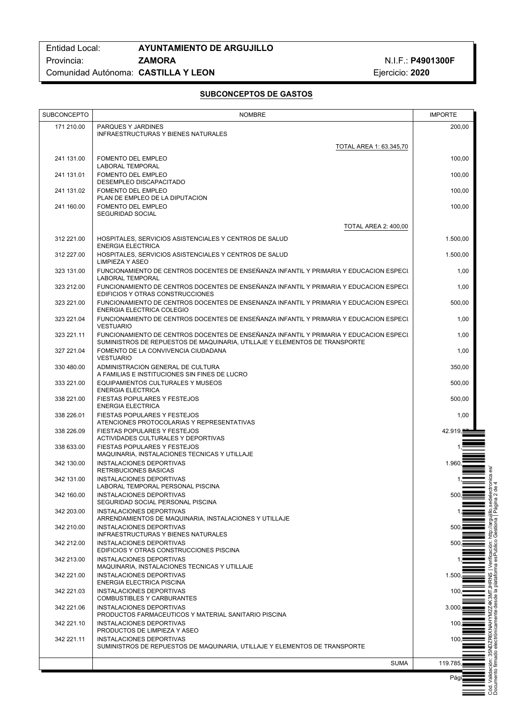| <b>SUBCONCEPTO</b> | <b>NOMBRE</b>                                                                                                               | <b>IMPORTE</b>                                       |
|--------------------|-----------------------------------------------------------------------------------------------------------------------------|------------------------------------------------------|
| 171 210.00         | PARQUES Y JARDINES                                                                                                          | 200,00                                               |
|                    | <b>INFRAESTRUCTURAS Y BIENES NATURALES</b>                                                                                  |                                                      |
|                    | TOTAL AREA 1: 63.345,70                                                                                                     |                                                      |
| 241 131.00         | <b>FOMENTO DEL EMPLEO</b><br><b>LABORAL TEMPORAL</b>                                                                        | 100,00                                               |
| 241 131.01         | <b>FOMENTO DEL EMPLEO</b>                                                                                                   | 100,00                                               |
| 241 131.02         | DESEMPLEO DISCAPACITADO<br><b>FOMENTO DEL EMPLEO</b>                                                                        | 100,00                                               |
|                    | PLAN DE EMPLEO DE LA DIPUTACION                                                                                             |                                                      |
| 241 160.00         | <b>FOMENTO DEL EMPLEO</b><br><b>SEGURIDAD SOCIAL</b>                                                                        | 100,00                                               |
|                    | <b>TOTAL AREA 2: 400.00</b>                                                                                                 |                                                      |
| 312 221.00         | HOSPITALES, SERVICIOS ASISTENCIALES Y CENTROS DE SALUD                                                                      | 1.500,00                                             |
| 312 227.00         | <b>ENERGIA ELECTRICA</b><br>HOSPITALES, SERVICIOS ASISTENCIALES Y CENTROS DE SALUD                                          | 1.500,00                                             |
|                    | LIMPIEZA Y ASEO                                                                                                             |                                                      |
| 323 131.00         | FUNCIONAMIENTO DE CENTROS DOCENTES DE ENSEÑANZA INFANTIL Y PRIMARIA Y EDUCACION ESPECI.<br><b>LABORAL TEMPORAL</b>          | 1,00                                                 |
| 323 212.00         | FUNCIONAMIENTO DE CENTROS DOCENTES DE ENSEÑANZA INFANTIL Y PRIMARIA Y EDUCACION ESPECI.<br>EDIFICIOS Y OTRAS CONSTRUCCIONES | 1,00                                                 |
| 323 221.00         | FUNCIONAMIENTO DE CENTROS DOCENTES DE ENSEÑANZA INFANTIL Y PRIMARIA Y EDUCACION ESPECI.<br>ENERGIA ELECTRICA COLEGIO        | 500,00                                               |
| 323 221.04         | FUNCIONAMIENTO DE CENTROS DOCENTES DE ENSEÑANZA INFANTIL Y PRIMARIA Y EDUCACION ESPECI.<br><b>VESTUARIO</b>                 | 1,00                                                 |
| 323 221.11         | FUNCIONAMIENTO DE CENTROS DOCENTES DE ENSEÑANZA INFANTIL Y PRIMARIA Y EDUCACION ESPECI.                                     | 1,00                                                 |
| 327 221.04         | SUMINISTROS DE REPUESTOS DE MAQUINARIA, UTILLAJE Y ELEMENTOS DE TRANSPORTE<br>FOMENTO DE LA CONVIVENCIA CIUDADANA           | 1,00                                                 |
|                    | <b>VESTUARIO</b>                                                                                                            |                                                      |
| 330 480.00         | ADMINISTRACION GENERAL DE CULTURA<br>A FAMILIAS E INSTITUCIONES SIN FINES DE LUCRO                                          | 350,00                                               |
| 333 221.00         | EQUIPAMIENTOS CULTURALES Y MUSEOS<br><b>ENERGIA ELECTRICA</b>                                                               | 500,00                                               |
| 338 221.00         | FIESTAS POPULARES Y FESTEJOS<br><b>ENERGIA ELECTRICA</b>                                                                    | 500,00                                               |
| 338 226.01         | FIESTAS POPULARES Y FESTEJOS<br>ATENCIONES PROTOCOLARIAS Y REPRESENTATIVAS                                                  | 1,00                                                 |
| 338 226.09         | FIESTAS POPULARES Y FESTEJOS<br>ACTIVIDADES CULTURALES Y DEPORTIVAS                                                         | 42.919,                                              |
| 338 633.00         | FIESTAS POPULARES Y FESTEJOS                                                                                                |                                                      |
| 342 130.00         | MAQUINARIA, INSTALACIONES TECNICAS Y UTILLAJE<br>INSTALACIONES DEPORTIVAS                                                   | 1.960                                                |
|                    | <b>RETRIBUCIONES BASICAS</b>                                                                                                |                                                      |
| 342 131.00         | <b>INSTALACIONES DEPORTIVAS</b><br>LABORAL TEMPORAL PERSONAL PISCINA                                                        |                                                      |
| 342 160.00         | INSTALACIONES DEPORTIVAS                                                                                                    | 500                                                  |
| 342 203.00         | SEGURIDAD SOCIAL PERSONAL PISCINA<br><b>INSTALACIONES DEPORTIVAS</b>                                                        |                                                      |
| 342 210.00         | ARRENDAMIENTOS DE MAQUINARIA, INSTALACIONES Y UTILLAJE<br>INSTALACIONES DEPORTIVAS                                          | 500                                                  |
|                    | INFRAESTRUCTURAS Y BIENES NATURALES                                                                                         |                                                      |
| 342 212.00         | INSTALACIONES DEPORTIVAS<br>EDIFICIOS Y OTRAS CONSTRUCCIONES PISCINA                                                        | 500.                                                 |
| 342 213.00         | INSTALACIONES DEPORTIVAS                                                                                                    |                                                      |
| 342 221.00         | MAQUINARIA, INSTALACIONES TECNICAS Y UTILLAJE<br>INSTALACIONES DEPORTIVAS                                                   | SS<br>1.500.                                         |
|                    | ENERGIA ELECTRICA PISCINA                                                                                                   | ≚질                                                   |
| 342 221.03         | <b>INSTALACIONES DEPORTIVAS</b><br>COMBUSTIBLES Y CARBURANTES                                                               | 100<br>Z4K3M<br>desde l                              |
| 342 221.06         | INSTALACIONES DEPORTIVAS<br>PRODUCTOS FARMACEUTICOS Y MATERIAL SANITARIO PISCINA                                            | 3.000.                                               |
| 342 221.10         | INSTALACIONES DEPORTIVAS                                                                                                    | 100<br>XNAI                                          |
| 342 221.11         | PRODUCTOS DE LIMPIEZA Y ASEO<br>INSTALACIONES DEPORTIVAS                                                                    | 100                                                  |
|                    | SUMINISTROS DE REPUESTOS DE MAQUINARIA, UTILLAJE Y ELEMENTOS DE TRANSPORTE                                                  |                                                      |
|                    | <b>SUMA</b>                                                                                                                 | Cód. Validación: 35<br>Documento firmado<br>119.785. |
|                    |                                                                                                                             | Pági                                                 |
|                    |                                                                                                                             |                                                      |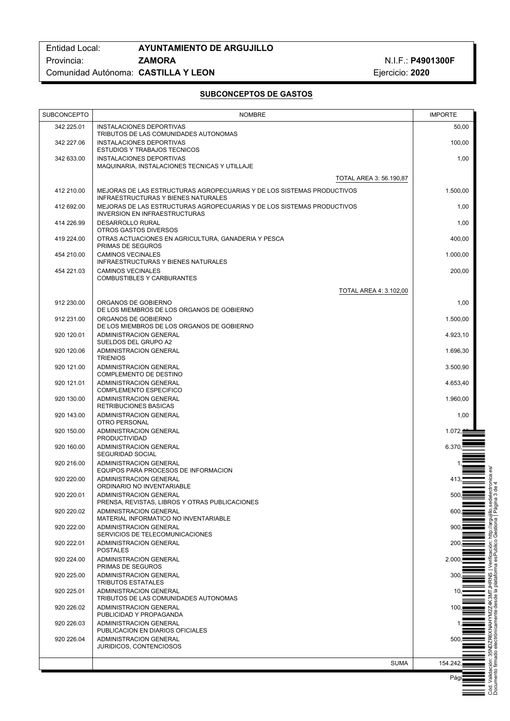Cód. Validación: 35NDZR6XNAHYM2Z4K3MTJHRNS | Verificación: http://argujillo.sedelectronica.es/ Documento firmado electrónicamente desde la plataforma esPublico Gestiona | Página 3 de 4

| 342 225.01<br>INSTALACIONES DEPORTIVAS<br>TRIBUTOS DE LAS COMUNIDADES AUTONOMAS<br>342 227.06<br>INSTALACIONES DEPORTIVAS<br><b>ESTUDIOS Y TRABAJOS TECNICOS</b><br><b>INSTALACIONES DEPORTIVAS</b><br>342 633.00<br>MAQUINARIA, INSTALACIONES TECNICAS Y UTILLAJE<br><b>TOTAL AREA 3: 56.190,87</b><br>412 210.00<br>MEJORAS DE LAS ESTRUCTURAS AGROPECUARIAS Y DE LOS SISTEMAS PRODUCTIVOS<br><b>INFRAESTRUCTURAS Y BIENES NATURALES</b><br>412 692.00<br>MEJORAS DE LAS ESTRUCTURAS AGROPECUARIAS Y DE LOS SISTEMAS PRODUCTIVOS<br><b>INVERSION EN INFRAESTRUCTURAS</b><br>414 226.99<br><b>DESARROLLO RURAL</b><br>OTROS GASTOS DIVERSOS<br>419 224.00<br>OTRAS ACTUACIONES EN AGRICULTURA, GANADERIA Y PESCA<br>PRIMAS DE SEGUROS<br><b>CAMINOS VECINALES</b><br>454 210.00<br>INFRAESTRUCTURAS Y BIENES NATURALES | 50,00<br>100,00<br>1,00<br>1.500,00<br>1,00<br>1,00<br>400,00<br>1.000,00<br>200,00<br>1,00 |
|-------------------------------------------------------------------------------------------------------------------------------------------------------------------------------------------------------------------------------------------------------------------------------------------------------------------------------------------------------------------------------------------------------------------------------------------------------------------------------------------------------------------------------------------------------------------------------------------------------------------------------------------------------------------------------------------------------------------------------------------------------------------------------------------------------------------------|---------------------------------------------------------------------------------------------|
|                                                                                                                                                                                                                                                                                                                                                                                                                                                                                                                                                                                                                                                                                                                                                                                                                         |                                                                                             |
|                                                                                                                                                                                                                                                                                                                                                                                                                                                                                                                                                                                                                                                                                                                                                                                                                         |                                                                                             |
|                                                                                                                                                                                                                                                                                                                                                                                                                                                                                                                                                                                                                                                                                                                                                                                                                         |                                                                                             |
|                                                                                                                                                                                                                                                                                                                                                                                                                                                                                                                                                                                                                                                                                                                                                                                                                         |                                                                                             |
|                                                                                                                                                                                                                                                                                                                                                                                                                                                                                                                                                                                                                                                                                                                                                                                                                         |                                                                                             |
|                                                                                                                                                                                                                                                                                                                                                                                                                                                                                                                                                                                                                                                                                                                                                                                                                         |                                                                                             |
|                                                                                                                                                                                                                                                                                                                                                                                                                                                                                                                                                                                                                                                                                                                                                                                                                         |                                                                                             |
|                                                                                                                                                                                                                                                                                                                                                                                                                                                                                                                                                                                                                                                                                                                                                                                                                         |                                                                                             |
|                                                                                                                                                                                                                                                                                                                                                                                                                                                                                                                                                                                                                                                                                                                                                                                                                         |                                                                                             |
| 454 221.03<br><b>CAMINOS VECINALES</b><br><b>COMBUSTIBLES Y CARBURANTES</b>                                                                                                                                                                                                                                                                                                                                                                                                                                                                                                                                                                                                                                                                                                                                             |                                                                                             |
| <b>TOTAL AREA 4: 3.102,00</b>                                                                                                                                                                                                                                                                                                                                                                                                                                                                                                                                                                                                                                                                                                                                                                                           |                                                                                             |
| 912 230.00<br>ORGANOS DE GOBIERNO                                                                                                                                                                                                                                                                                                                                                                                                                                                                                                                                                                                                                                                                                                                                                                                       |                                                                                             |
| DE LOS MIEMBROS DE LOS ORGANOS DE GOBIERNO<br>912 231.00<br>ORGANOS DE GOBIERNO                                                                                                                                                                                                                                                                                                                                                                                                                                                                                                                                                                                                                                                                                                                                         | 1.500,00                                                                                    |
| DE LOS MIEMBROS DE LOS ORGANOS DE GOBIERNO<br>920 120.01<br>ADMINISTRACION GENERAL                                                                                                                                                                                                                                                                                                                                                                                                                                                                                                                                                                                                                                                                                                                                      | 4.923,10                                                                                    |
| SUELDOS DEL GRUPO A2<br>920 120.06<br>ADMINISTRACION GENERAL                                                                                                                                                                                                                                                                                                                                                                                                                                                                                                                                                                                                                                                                                                                                                            | 1.696,30                                                                                    |
| <b>TRIENIOS</b><br>920 121.00<br>ADMINISTRACION GENERAL                                                                                                                                                                                                                                                                                                                                                                                                                                                                                                                                                                                                                                                                                                                                                                 | 3.500,90                                                                                    |
| COMPLEMENTO DE DESTINO<br>920 121.01<br>ADMINISTRACION GENERAL                                                                                                                                                                                                                                                                                                                                                                                                                                                                                                                                                                                                                                                                                                                                                          | 4.653,40                                                                                    |
| <b>COMPLEMENTO ESPECIFICO</b><br>920 130.00<br>ADMINISTRACION GENERAL                                                                                                                                                                                                                                                                                                                                                                                                                                                                                                                                                                                                                                                                                                                                                   | 1.960,00                                                                                    |
| <b>RETRIBUCIONES BASICAS</b><br>920 143.00<br>ADMINISTRACION GENERAL                                                                                                                                                                                                                                                                                                                                                                                                                                                                                                                                                                                                                                                                                                                                                    | 1,00                                                                                        |
| OTRO PERSONAL<br>920 150.00<br>ADMINISTRACION GENERAL                                                                                                                                                                                                                                                                                                                                                                                                                                                                                                                                                                                                                                                                                                                                                                   | 1.072,                                                                                      |
| <b>PRODUCTIVIDAD</b><br>6.370,<br>920 160.00<br>ADMINISTRACION GENERAL                                                                                                                                                                                                                                                                                                                                                                                                                                                                                                                                                                                                                                                                                                                                                  |                                                                                             |
| <b>SEGURIDAD SOCIAL</b><br>920 216.00<br>ADMINISTRACION GENERAL                                                                                                                                                                                                                                                                                                                                                                                                                                                                                                                                                                                                                                                                                                                                                         |                                                                                             |
| EQUIPOS PARA PROCESOS DE INFORMACION<br>920 220.00<br>ADMINISTRACION GENERAL                                                                                                                                                                                                                                                                                                                                                                                                                                                                                                                                                                                                                                                                                                                                            | 413,                                                                                        |
| ORDINARIO NO INVENTARIABLE<br>ADMINISTRACION GENERAL<br>920 220.01                                                                                                                                                                                                                                                                                                                                                                                                                                                                                                                                                                                                                                                                                                                                                      | 500,(                                                                                       |
| PRENSA, REVISTAS, LIBROS Y OTRAS PUBLICACIONES<br>920 220.02<br>ADMINISTRACION GENERAL                                                                                                                                                                                                                                                                                                                                                                                                                                                                                                                                                                                                                                                                                                                                  | 600                                                                                         |
| MATERIAL INFORMATICO NO INVENTARIABLE<br>920 222.00<br>ADMINISTRACION GENERAL                                                                                                                                                                                                                                                                                                                                                                                                                                                                                                                                                                                                                                                                                                                                           | 900,                                                                                        |
| SERVICIOS DE TELECOMUNICACIONES<br>920 222.01<br>ADMINISTRACION GENERAL                                                                                                                                                                                                                                                                                                                                                                                                                                                                                                                                                                                                                                                                                                                                                 | 200,                                                                                        |
| <b>POSTALES</b><br>920 224.00<br>ADMINISTRACION GENERAL<br>2.000,                                                                                                                                                                                                                                                                                                                                                                                                                                                                                                                                                                                                                                                                                                                                                       |                                                                                             |
| PRIMAS DE SEGUROS<br>920 225.00<br>ADMINISTRACION GENERAL                                                                                                                                                                                                                                                                                                                                                                                                                                                                                                                                                                                                                                                                                                                                                               | 300,                                                                                        |
| <b>TRIBUTOS ESTATALES</b><br>ADMINISTRACION GENERAL<br>920 225.01                                                                                                                                                                                                                                                                                                                                                                                                                                                                                                                                                                                                                                                                                                                                                       | 10.                                                                                         |
| TRIBUTOS DE LAS COMUNIDADES AUTONOMAS<br>920 226.02<br>ADMINISTRACION GENERAL                                                                                                                                                                                                                                                                                                                                                                                                                                                                                                                                                                                                                                                                                                                                           | 100,                                                                                        |
| PUBLICIDAD Y PROPAGANDA<br>ADMINISTRACION GENERAL<br>920 226.03                                                                                                                                                                                                                                                                                                                                                                                                                                                                                                                                                                                                                                                                                                                                                         |                                                                                             |
| PUBLICACION EN DIARIOS OFICIALES<br>920 226.04<br>ADMINISTRACION GENERAL                                                                                                                                                                                                                                                                                                                                                                                                                                                                                                                                                                                                                                                                                                                                                | 500.                                                                                        |
| JURIDICOS, CONTENCIOSOS                                                                                                                                                                                                                                                                                                                                                                                                                                                                                                                                                                                                                                                                                                                                                                                                 |                                                                                             |
| <b>SUMA</b><br>154.242,∎<br>Págii                                                                                                                                                                                                                                                                                                                                                                                                                                                                                                                                                                                                                                                                                                                                                                                       |                                                                                             |